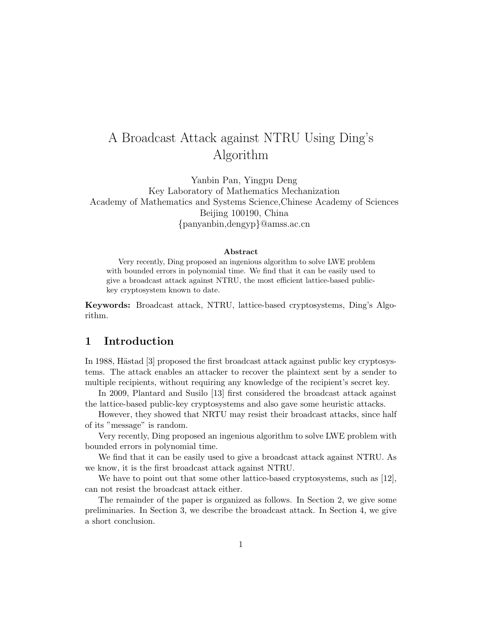# A Broadcast Attack against NTRU Using Ding's Algorithm

Yanbin Pan, Yingpu Deng Key Laboratory of Mathematics Mechanization Academy of Mathematics and Systems Science,Chinese Academy of Sciences Beijing 100190, China {panyanbin,dengyp}@amss.ac.cn

#### Abstract

Very recently, Ding proposed an ingenious algorithm to solve LWE problem with bounded errors in polynomial time. We find that it can be easily used to give a broadcast attack against NTRU, the most efficient lattice-based publickey cryptosystem known to date.

Keywords: Broadcast attack, NTRU, lattice-based cryptosystems, Ding's Algorithm.

# 1 Introduction

In 1988, Hästad [3] proposed the first broadcast attack against public key cryptosystems. The attack enables an attacker to recover the plaintext sent by a sender to multiple recipients, without requiring any knowledge of the recipient's secret key.

In 2009, Plantard and Susilo [13] first considered the broadcast attack against the lattice-based public-key cryptosystems and also gave some heuristic attacks.

However, they showed that NRTU may resist their broadcast attacks, since half of its "message" is random.

Very recently, Ding proposed an ingenious algorithm to solve LWE problem with bounded errors in polynomial time.

We find that it can be easily used to give a broadcast attack against NTRU. As we know, it is the first broadcast attack against NTRU.

We have to point out that some other lattice-based cryptosystems, such as [12], can not resist the broadcast attack either.

The remainder of the paper is organized as follows. In Section 2, we give some preliminaries. In Section 3, we describe the broadcast attack. In Section 4, we give a short conclusion.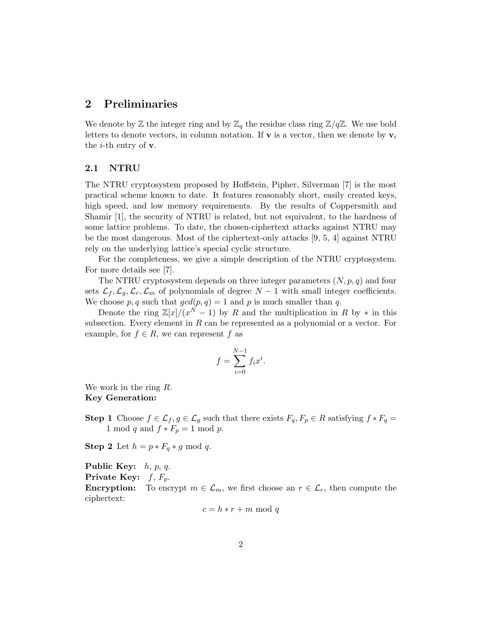# 2 Preliminaries

We denote by Z the integer ring and by  $\mathbb{Z}_q$  the residue class ring  $\mathbb{Z}/q\mathbb{Z}$ . We use bold letters to denote vectors, in column notation. If **v** is a vector, then we denote by  $\mathbf{v}_i$ the *i*-th entry of  $\bf{v}$ .

## 2.1 NTRU

The NTRU cryptosystem proposed by Hoffstein, Pipher, Silverman [7] is the most practical scheme known to date. It features reasonably short, easily created keys, high speed, and low memory requirements. By the results of Coppersmith and Shamir [1], the security of NTRU is related, but not equivalent, to the hardness of some lattice problems. To date, the chosen-ciphertext attacks against NTRU may be the most dangerous. Most of the ciphertext-only attacks [9, 5, 4] against NTRU rely on the underlying lattice's special cyclic structure.

For the completeness, we give a simple description of the NTRU cryptosystem. For more details see [7].

The NTRU cryptosystem depends on three integer parameters  $(N, p, q)$  and four sets  $\mathcal{L}_f, \mathcal{L}_g, \mathcal{L}_r, \mathcal{L}_m$  of polynomials of degree  $N-1$  with small integer coefficients. We choose p, q such that  $gcd(p, q) = 1$  and p is much smaller than q.

Denote the ring  $\mathbb{Z}[x]/(x^N-1)$  by R and the multiplication in R by  $*$  in this subsection. Every element in  $R$  can be represented as a polynomial or a vector. For example, for  $f \in R$ , we can represent f as

$$
f = \sum_{i=0}^{N-1} f_i x^i.
$$

We work in the ring R. Key Generation:

**Step 1** Choose  $f \in \mathcal{L}_f, g \in \mathcal{L}_g$  such that there exists  $F_q, F_p \in R$  satisfying  $f * F_q =$ 1 mod q and  $f * F_p = 1$  mod p.

Step 2 Let  $h = p * F_q * g \mod q$ .

Public Key:  $h, p, q$ . Private Key:  $f, F_p$ . **Encryption:** To encrypt  $m \in \mathcal{L}_m$ , we first choose an  $r \in \mathcal{L}_r$ , then compute the ciphertext:

$$
c = h * r + m \bmod q
$$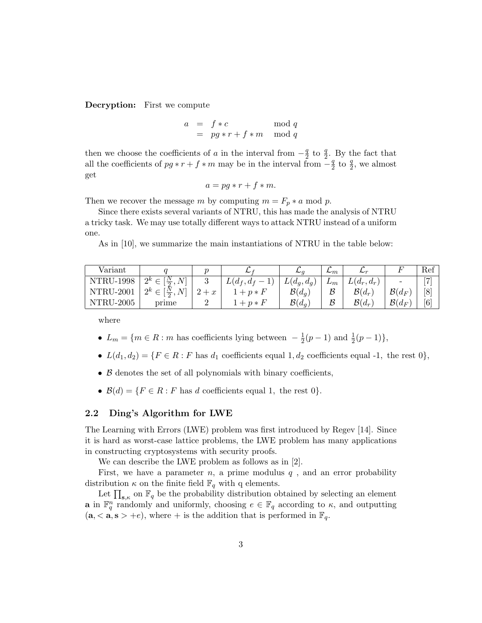Decryption: First we compute

$$
a = f * c \mod q
$$
  
=  $pg * r + f * m \mod q$ 

then we choose the coefficients of a in the interval from  $-\frac{q}{2}$  $\frac{q}{2}$  to  $\frac{q}{2}$ . By the fact that all the coefficients of  $pg * r + f * m$  may be in the interval from  $-\frac{q}{2}$  $\frac{q}{2}$  to  $\frac{q}{2}$ , we almost get

$$
a = pg * r + f * m.
$$

Then we recover the message m by computing  $m = F_p * a \mod p$ .

Since there exists several variants of NTRU, this has made the analysis of NTRU a tricky task. We may use totally different ways to attack NTRU instead of a uniform one.

As in [10], we summarize the main instantiations of NTRU in the table below:

| Variant          |                                           |      | ົ          | $\mathcal{L}$ a    | $\mathbf{L}_m$ | レィ                 |                          | Ref        |
|------------------|-------------------------------------------|------|------------|--------------------|----------------|--------------------|--------------------------|------------|
| <b>NTRU-1998</b> | $N^1$<br>$\frac{N}{2}$<br>$2^k \in$       |      | $d_f, d_f$ | $L(d_q, d_q)$      | $L_m$          | $L(d_r, d_r)$      | $\overline{\phantom{a}}$ | <b>้ —</b> |
| <b>NTRU-2001</b> | $\left[\frac{N}{2},N\right]$<br>$2^k \in$ | $+x$ | $1+p*F$    | $\mathcal{B}(d_g)$ | $\mathcal B$   | $\mathcal{B}(d_r)$ | $\mathcal{B}(d_F)$       | [8]        |
| NTRU-2005        | prime                                     |      | $+ p * F$  | $\mathcal{B}(d_q)$ | $\mathcal B$   | $\mathcal{B}(d_r)$ | $\mathcal{B}(d_F)$       | [6]        |

where

- $L_m = \{m \in \mathbb{R} : m \text{ has coefficients lying between } -\frac{1}{2}\}$  $\frac{1}{2}(p-1)$  and  $\frac{1}{2}(p-1)$ ,
- $L(d_1, d_2) = \{F \in R : F \text{ has } d_1 \text{ coefficients equal } 1, d_2 \text{ coefficients equal } -1, \text{ the rest } 0\},\$
- $\beta$  denotes the set of all polynomials with binary coefficients,
- $\mathcal{B}(d) = \{F \in R : F \text{ has } d \text{ coefficients equal 1, the rest 0}\}.$

## 2.2 Ding's Algorithm for LWE

The Learning with Errors (LWE) problem was first introduced by Regev [14]. Since it is hard as worst-case lattice problems, the LWE problem has many applications in constructing cryptosystems with security proofs.

We can describe the LWE problem as follows as in [2].

First, we have a parameter n, a prime modulus  $q$ , and an error probability distribution  $\kappa$  on the finite field  $\mathbb{F}_q$  with q elements.

Let  $\prod_{s,\kappa}$  on  $\mathbb{F}_q$  be the probability distribution obtained by selecting an element **a** in  $\mathbb{F}_q^n$  randomly and uniformly, choosing  $e \in \mathbb{F}_q$  according to  $\kappa$ , and outputting  $(a, **a**, **s** > +e),$  where + is the addition that is performed in  $\mathbb{F}_q$ .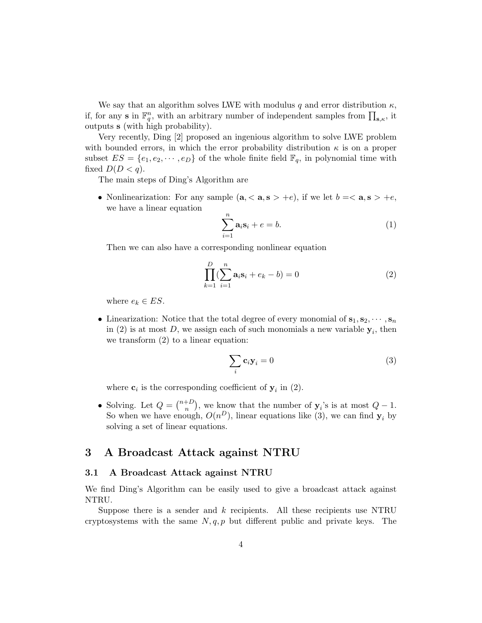We say that an algorithm solves LWE with modulus q and error distribution  $\kappa$ , if, for any s in  $\mathbb{F}_q^n$ , with an arbitrary number of independent samples from  $\prod_{s,\kappa}$ , it outputs s (with high probability).

Very recently, Ding [2] proposed an ingenious algorithm to solve LWE problem with bounded errors, in which the error probability distribution  $\kappa$  is on a proper subset  $ES = \{e_1, e_2, \dots, e_D\}$  of the whole finite field  $\mathbb{F}_q$ , in polynomial time with fixed  $D(D < q)$ .

The main steps of Ding's Algorithm are

• Nonlinearization: For any sample  $(a,  +e)$ , if we let  $b =  +e$ , we have a linear equation

$$
\sum_{i=1}^{n} \mathbf{a}_i \mathbf{s}_i + e = b. \tag{1}
$$

Then we can also have a corresponding nonlinear equation

$$
\prod_{k=1}^{D} (\sum_{i=1}^{n} \mathbf{a}_{i} \mathbf{s}_{i} + e_{k} - b) = 0
$$
 (2)

where  $e_k \in ES$ .

• Linearization: Notice that the total degree of every monomial of  $s_1, s_2, \dots, s_n$ in (2) is at most  $D$ , we assign each of such monomials a new variable  $y_i$ , then we transform (2) to a linear equation:

$$
\sum_{i} \mathbf{c}_{i} \mathbf{y}_{i} = 0 \tag{3}
$$

where  $\mathbf{c}_i$  is the corresponding coefficient of  $\mathbf{y}_i$  in (2).

• Solving. Let  $Q = \binom{n+D}{n}$  $\binom{+D}{n}$ , we know that the number of  $y_i$ 's is at most  $Q-1$ . So when we have enough,  $O(n^D)$ , linear equations like (3), we can find  $y_i$  by solving a set of linear equations.

# 3 A Broadcast Attack against NTRU

## 3.1 A Broadcast Attack against NTRU

We find Ding's Algorithm can be easily used to give a broadcast attack against NTRU.

Suppose there is a sender and  $k$  recipients. All these recipients use NTRU cryptosystems with the same  $N, q, p$  but different public and private keys. The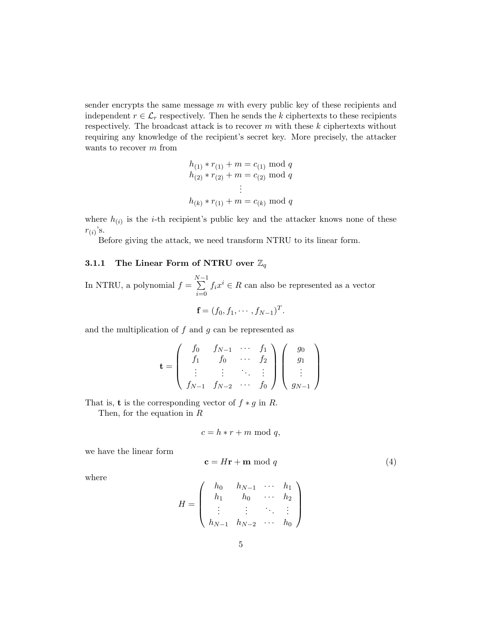sender encrypts the same message  $m$  with every public key of these recipients and independent  $r \in \mathcal{L}_r$  respectively. Then he sends the k ciphertexts to these recipients respectively. The broadcast attack is to recover  $m$  with these  $k$  ciphertexts without requiring any knowledge of the recipient's secret key. More precisely, the attacker wants to recover m from

$$
h_{(1)} * r_{(1)} + m = c_{(1)} \mod q
$$
  
\n
$$
h_{(2)} * r_{(2)} + m = c_{(2)} \mod q
$$
  
\n
$$
\vdots
$$
  
\n
$$
h_{(k)} * r_{(1)} + m = c_{(k)} \mod q
$$

where  $h_{(i)}$  is the *i*-th recipient's public key and the attacker knows none of these  $r_{(i)}$ 's.

Before giving the attack, we need transform NTRU to its linear form.

## 3.1.1 The Linear Form of NTRU over  $\mathbb{Z}_q$

In NTRU, a polynomial  $f =$  $\sum_{ }^{N-1}$  $i=0$  $f_ix^i \in R$  can also be represented as a vector

$$
\mathbf{f}=(f_0,f_1,\cdots,f_{N-1})^T.
$$

and the multiplication of  $f$  and  $g$  can be represented as

$$
\mathbf{t} = \begin{pmatrix} f_0 & f_{N-1} & \cdots & f_1 \\ f_1 & f_0 & \cdots & f_2 \\ \vdots & \vdots & \ddots & \vdots \\ f_{N-1} & f_{N-2} & \cdots & f_0 \end{pmatrix} \begin{pmatrix} g_0 \\ g_1 \\ \vdots \\ g_{N-1} \end{pmatrix}
$$

That is, **t** is the corresponding vector of  $f * g$  in R.

Then, for the equation in R

$$
c = h * r + m \bmod q,
$$

we have the linear form

$$
\mathbf{c} = H\mathbf{r} + \mathbf{m} \bmod q \tag{4}
$$

where

$$
H = \left( \begin{array}{cccc} h_0 & h_{N-1} & \cdots & h_1 \\ h_1 & h_0 & \cdots & h_2 \\ \vdots & \vdots & \ddots & \vdots \\ h_{N-1} & h_{N-2} & \cdots & h_0 \end{array} \right)
$$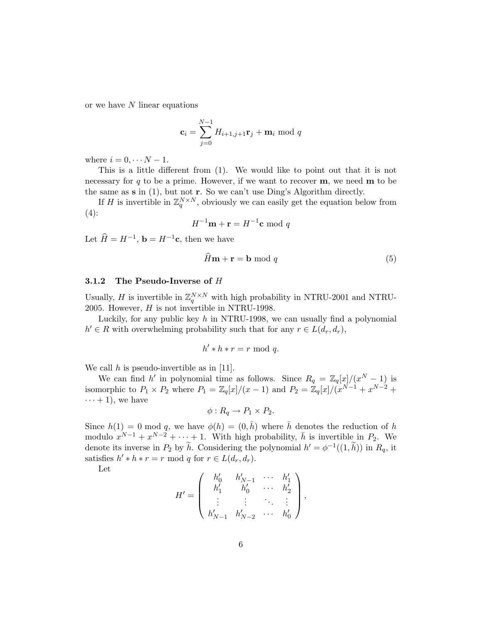or we have  $N$  linear equations

$$
\mathbf{c}_i = \sum_{j=0}^{N-1} H_{i+1,j+1} \mathbf{r}_j + \mathbf{m}_i \bmod q
$$

where  $i = 0, \cdots N - 1$ .

This is a little different from (1). We would like to point out that it is not necessary for q to be a prime. However, if we want to recover **, we need**  $**m**$  **to be** the same as  $s$  in (1), but not  $r$ . So we can't use Ding's Algorithm directly.

If H is invertible in  $\mathbb{Z}_q^{N \times N}$ , obviously we can easily get the equation below from  $(4)$ :

$$
H^{-1}\mathbf{m} + \mathbf{r} = H^{-1}\mathbf{c} \bmod q
$$

Let  $\widehat{H} = H^{-1}$ ,  $\mathbf{b} = H^{-1}\mathbf{c}$ , then we have

$$
\hat{H}\mathbf{m} + \mathbf{r} = \mathbf{b} \bmod q \tag{5}
$$

## 3.1.2 The Pseudo-Inverse of H

Usually, H is invertible in  $\mathbb{Z}_q^{N \times N}$  with high probability in NTRU-2001 and NTRU-2005. However, H is not invertible in NTRU-1998.

Luckily, for any public key h in NTRU-1998, we can usually find a polynomial  $h' \in R$  with overwhelming probability such that for any  $r \in L(d_r, d_r)$ ,

$$
h' * h * r = r \bmod q.
$$

We call  $h$  is pseudo-invertible as in [11].

We can find h' in polynomial time as follows. Since  $R_q = \mathbb{Z}_q[x]/(x^N - 1)$  is isomorphic to  $P_1 \times P_2$  where  $P_1 = \mathbb{Z}_q[x]/(x-1)$  and  $P_2 = \mathbb{Z}_q[x]/(x^{N-1} + x^{N-2} +$  $\cdots + 1$ , we have

$$
\phi: R_q \to P_1 \times P_2.
$$

Since  $h(1) = 0 \text{ mod } q$ , we have  $\phi(h) = (0, \bar{h})$  where  $\bar{h}$  denotes the reduction of h modulo  $x^{N-1} + x^{N-2} + \cdots + 1$ . With high probability,  $\bar{h}$  is invertible in  $P_2$ . We denote its inverse in  $P_2$  by  $\tilde{h}$ . Considering the polynomial  $h' = \phi^{-1}((1,\tilde{h}))$  in  $R_q$ , it satisfies  $h' * h * r = r \mod q$  for  $r \in L(d_r, d_r)$ .

Let

$$
H' = \begin{pmatrix} h'_0 & h'_{N-1} & \cdots & h'_1 \\ h'_1 & h'_0 & \cdots & h'_2 \\ \vdots & \vdots & \ddots & \vdots \\ h'_{N-1} & h'_{N-2} & \cdots & h'_0 \end{pmatrix},
$$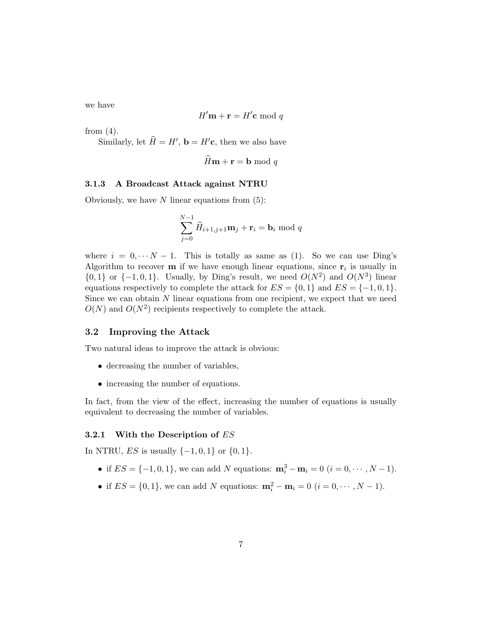we have

$$
H'\mathbf{m} + \mathbf{r} = H'\mathbf{c} \bmod q
$$

from (4).

Similarly, let  $\widehat{H} = H'$ ,  $\mathbf{b} = H'\mathbf{c}$ , then we also have

$$
\hat{H}\mathbf{m} + \mathbf{r} = \mathbf{b} \bmod q
$$

### 3.1.3 A Broadcast Attack against NTRU

Obviously, we have  $N$  linear equations from  $(5)$ :

$$
\sum_{j=0}^{N-1} \widehat{H}_{i+1,j+1} \mathbf{m}_j + \mathbf{r}_i = \mathbf{b}_i \bmod q
$$

where  $i = 0, \dots N - 1$ . This is totally as same as (1). So we can use Ding's Algorithm to recover **m** if we have enough linear equations, since  $\mathbf{r}_i$  is usually in  $\{0,1\}$  or  $\{-1,0,1\}$ . Usually, by Ding's result, we need  $O(N^2)$  and  $O(N^3)$  linear equations respectively to complete the attack for  $ES = \{0, 1\}$  and  $ES = \{-1, 0, 1\}$ . Since we can obtain  $N$  linear equations from one recipient, we expect that we need  $O(N)$  and  $O(N^2)$  recipients respectively to complete the attack.

## 3.2 Improving the Attack

Two natural ideas to improve the attack is obvious:

- decreasing the number of variables,
- increasing the number of equations.

In fact, from the view of the effect, increasing the number of equations is usually equivalent to decreasing the number of variables.

#### 3.2.1 With the Description of  $ES$

In NTRU, *ES* is usually  $\{-1, 0, 1\}$  or  $\{0, 1\}$ .

- if  $ES = \{-1, 0, 1\}$ , we can add N equations:  $\mathbf{m}_i^3 \mathbf{m}_i = 0$   $(i = 0, \dots, N 1)$ .
- if  $ES = \{0, 1\}$ , we can add N equations:  $m_i^2 m_i = 0$   $(i = 0, \dots, N 1)$ .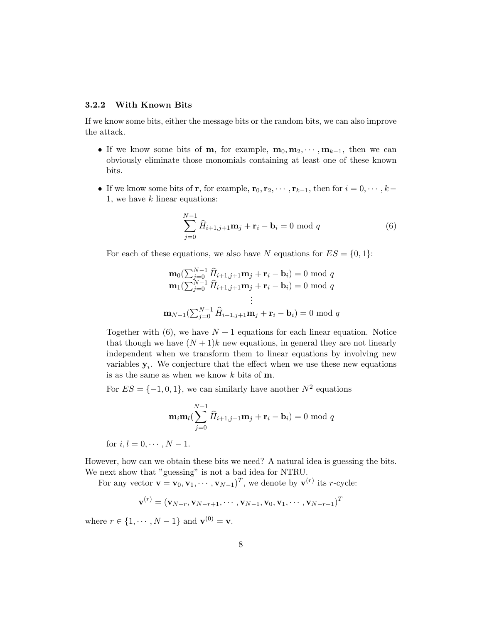### 3.2.2 With Known Bits

If we know some bits, either the message bits or the random bits, we can also improve the attack.

- If we know some bits of **m**, for example,  $\mathbf{m}_0, \mathbf{m}_2, \cdots, \mathbf{m}_{k-1}$ , then we can obviously eliminate those monomials containing at least one of these known bits.
- If we know some bits of **r**, for example,  $\mathbf{r}_0, \mathbf{r}_2, \cdots, \mathbf{r}_{k-1}$ , then for  $i = 0, \cdots, k-1$ 1, we have  $k$  linear equations:

$$
\sum_{j=0}^{N-1} \widehat{H}_{i+1,j+1} \mathbf{m}_j + \mathbf{r}_i - \mathbf{b}_i = 0 \text{ mod } q
$$
 (6)

For each of these equations, we also have N equations for  $ES = \{0, 1\}$ :

$$
\mathbf{m}_0(\sum_{j=0}^{N-1} \widehat{H}_{i+1,j+1}\mathbf{m}_j + \mathbf{r}_i - \mathbf{b}_i) = 0 \mod q
$$
  
\n
$$
\mathbf{m}_1(\sum_{j=0}^{N-1} \widehat{H}_{i+1,j+1}\mathbf{m}_j + \mathbf{r}_i - \mathbf{b}_i) = 0 \mod q
$$
  
\n
$$
\vdots
$$
  
\n
$$
\mathbf{m}_{N-1}(\sum_{j=0}^{N-1} \widehat{H}_{i+1,j+1}\mathbf{m}_j + \mathbf{r}_i - \mathbf{b}_i) = 0 \mod q
$$

Together with  $(6)$ , we have  $N+1$  equations for each linear equation. Notice that though we have  $(N+1)k$  new equations, in general they are not linearly independent when we transform them to linear equations by involving new variables  $y_i$ . We conjecture that the effect when we use these new equations is as the same as when we know  $k$  bits of  $m$ .

For  $ES = \{-1, 0, 1\}$ , we can similarly have another  $N^2$  equations

$$
\mathbf{m}_i \mathbf{m}_l \left( \sum_{j=0}^{N-1} \widehat{H}_{i+1,j+1} \mathbf{m}_j + \mathbf{r}_i - \mathbf{b}_i \right) = 0 \mod q
$$

for  $i, l = 0, \cdots, N - 1$ .

However, how can we obtain these bits we need? A natural idea is guessing the bits. We next show that "guessing" is not a bad idea for NTRU.

For any vector  $\mathbf{v} = \mathbf{v}_0, \mathbf{v}_1, \cdots, \mathbf{v}_{N-1}$ , we denote by  $\mathbf{v}^{(r)}$  its *r*-cycle:

$$
\mathbf{v}^{(r)} = (\mathbf{v}_{N-r}, \mathbf{v}_{N-r+1}, \cdots, \mathbf{v}_{N-1}, \mathbf{v}_0, \mathbf{v}_1, \cdots, \mathbf{v}_{N-r-1})^T
$$

where  $r \in \{1, \dots, N-1\}$  and  $\mathbf{v}^{(0)} = \mathbf{v}$ .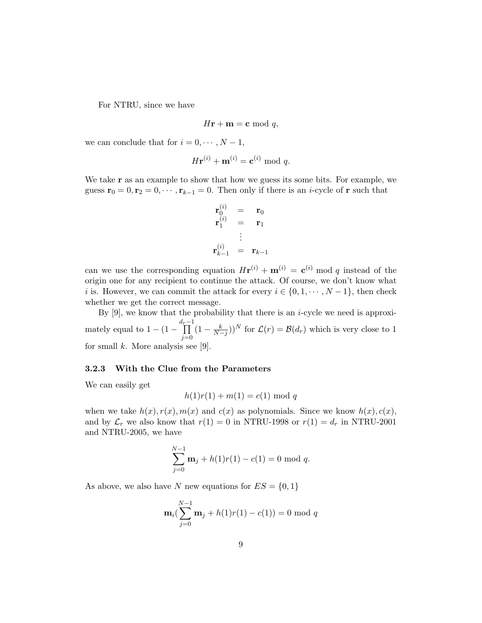For NTRU, since we have

$$
H\mathbf{r} + \mathbf{m} = \mathbf{c} \bmod q,
$$

we can conclude that for  $i = 0, \dots, N - 1$ ,

$$
H\mathbf{r}^{(i)} + \mathbf{m}^{(i)} = \mathbf{c}^{(i)} \bmod q.
$$

We take  $r$  as an example to show that how we guess its some bits. For example, we guess  $\mathbf{r}_0 = 0, \mathbf{r}_2 = 0, \cdots, \mathbf{r}_{k-1} = 0$ . Then only if there is an *i*-cycle of **r** such that

$$
\begin{array}{ccc}\n\mathbf{r}_{0}^{(i)} & = & \mathbf{r}_{0} \\
\mathbf{r}_{1}^{(i)} & = & \mathbf{r}_{1} \\
\vdots & & \\
\mathbf{r}_{k-1}^{(i)} & = & \mathbf{r}_{k-1}\n\end{array}
$$

can we use the corresponding equation  $H\mathbf{r}^{(i)} + \mathbf{m}^{(i)} = \mathbf{c}^{(i)}$  mod q instead of the origin one for any recipient to continue the attack. Of course, we don't know what i is. However, we can commit the attack for every  $i \in \{0, 1, \cdots, N-1\}$ , then check whether we get the correct message.

By  $[9]$ , we know that the probability that there is an *i*-cycle we need is approximately equal to  $1 - (1 - \prod^{d_r-1}$  $j=0$  $(1 - \frac{k}{N-j})^N$  for  $\mathcal{L}(r) = \mathcal{B}(d_r)$  which is very close to 1 for small  $k$ . More analysis see [9].

#### 3.2.3 With the Clue from the Parameters

We can easily get

$$
h(1)r(1) + m(1) = c(1) \mod q
$$

when we take  $h(x)$ ,  $r(x)$ ,  $m(x)$  and  $c(x)$  as polynomials. Since we know  $h(x)$ ,  $c(x)$ , and by  $\mathcal{L}_r$  we also know that  $r(1) = 0$  in NTRU-1998 or  $r(1) = d_r$  in NTRU-2001 and NTRU-2005, we have

$$
\sum_{j=0}^{N-1} \mathbf{m}_j + h(1)r(1) - c(1) = 0 \text{ mod } q.
$$

As above, we also have N new equations for  $ES = \{0, 1\}$ 

$$
\mathbf{m}_i(\sum_{j=0}^{N-1} \mathbf{m}_j + h(1)r(1) - c(1)) = 0 \mod q
$$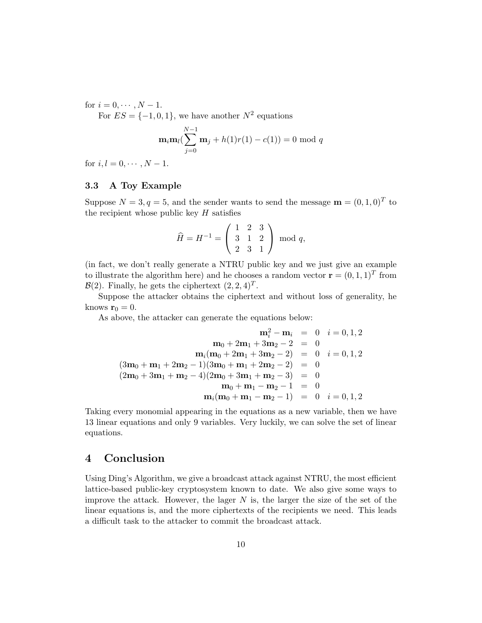for  $i = 0, \cdots, N - 1$ .

For  $ES = \{-1, 0, 1\}$ , we have another  $N^2$  equations

$$
\mathbf{m}_i \mathbf{m}_l \left( \sum_{j=0}^{N-1} \mathbf{m}_j + h(1)r(1) - c(1) \right) = 0 \mod q
$$

for  $i, l = 0, \cdots, N - 1$ .

## 3.3 A Toy Example

Suppose  $N = 3, q = 5$ , and the sender wants to send the message  $\mathbf{m} = (0, 1, 0)^T$  to the recipient whose public key  $H$  satisfies

$$
\widehat{H} = H^{-1} = \begin{pmatrix} 1 & 2 & 3 \\ 3 & 1 & 2 \\ 2 & 3 & 1 \end{pmatrix} \mod q,
$$

(in fact, we don't really generate a NTRU public key and we just give an example to illustrate the algorithm here) and he chooses a random vector  $\mathbf{r} = (0, 1, 1)^T$  from  $\mathcal{B}(2)$ . Finally, he gets the ciphertext  $(2, 2, 4)^T$ .

Suppose the attacker obtains the ciphertext and without loss of generality, he knows  $\mathbf{r}_0 = 0$ .

As above, the attacker can generate the equations below:

$$
\mathbf{m}_{i}^{2} - \mathbf{m}_{i} = 0 \quad i = 0, 1, 2
$$
\n
$$
\mathbf{m}_{0} + 2\mathbf{m}_{1} + 3\mathbf{m}_{2} - 2 = 0
$$
\n
$$
\mathbf{m}_{i}(\mathbf{m}_{0} + 2\mathbf{m}_{1} + 3\mathbf{m}_{2} - 2) = 0 \quad i = 0, 1, 2
$$
\n
$$
(3\mathbf{m}_{0} + \mathbf{m}_{1} + 2\mathbf{m}_{2} - 1)(3\mathbf{m}_{0} + \mathbf{m}_{1} + 2\mathbf{m}_{2} - 2) = 0
$$
\n
$$
(2\mathbf{m}_{0} + 3\mathbf{m}_{1} + \mathbf{m}_{2} - 4)(2\mathbf{m}_{0} + 3\mathbf{m}_{1} + \mathbf{m}_{2} - 3) = 0
$$
\n
$$
\mathbf{m}_{0} + \mathbf{m}_{1} - \mathbf{m}_{2} - 1 = 0
$$
\n
$$
\mathbf{m}_{i}(\mathbf{m}_{0} + \mathbf{m}_{1} - \mathbf{m}_{2} - 1) = 0 \quad i = 0, 1, 2
$$

Taking every monomial appearing in the equations as a new variable, then we have 13 linear equations and only 9 variables. Very luckily, we can solve the set of linear equations.

# 4 Conclusion

Using Ding's Algorithm, we give a broadcast attack against NTRU, the most efficient lattice-based public-key cryptosystem known to date. We also give some ways to improve the attack. However, the lager  $N$  is, the larger the size of the set of the linear equations is, and the more ciphertexts of the recipients we need. This leads a difficult task to the attacker to commit the broadcast attack.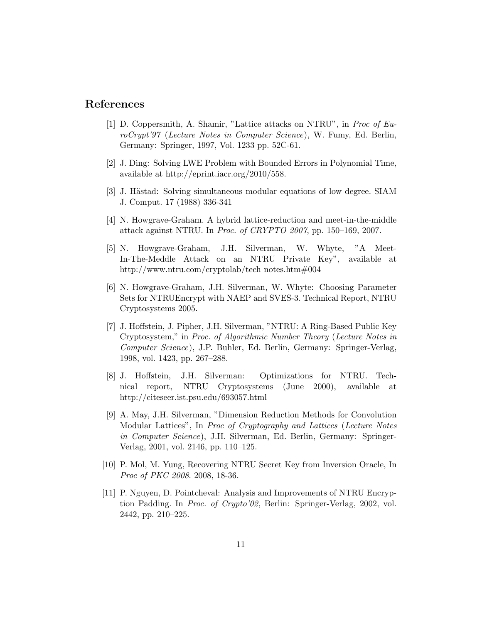## References

- [1] D. Coppersmith, A. Shamir, "Lattice attacks on NTRU", in Proc of EuroCrypt'97 (Lecture Notes in Computer Science), W. Fumy, Ed. Berlin, Germany: Springer, 1997, Vol. 1233 pp. 52C-61.
- [2] J. Ding: Solving LWE Problem with Bounded Errors in Polynomial Time, available at http://eprint.iacr.org/2010/558.
- [3] J. Hästad: Solving simultaneous modular equations of low degree. SIAM J. Comput. 17 (1988) 336-341
- [4] N. Howgrave-Graham. A hybrid lattice-reduction and meet-in-the-middle attack against NTRU. In Proc. of CRYPTO 2007, pp. 150–169, 2007.
- [5] N. Howgrave-Graham, J.H. Silverman, W. Whyte, "A Meet-In-The-Meddle Attack on an NTRU Private Key", available at http://www.ntru.com/cryptolab/tech notes.htm#004
- [6] N. Howgrave-Graham, J.H. Silverman, W. Whyte: Choosing Parameter Sets for NTRUEncrypt with NAEP and SVES-3. Technical Report, NTRU Cryptosystems 2005.
- [7] J. Hoffstein, J. Pipher, J.H. Silverman, "NTRU: A Ring-Based Public Key Cryptosystem," in Proc. of Algorithmic Number Theory (Lecture Notes in Computer Science), J.P. Buhler, Ed. Berlin, Germany: Springer-Verlag, 1998, vol. 1423, pp. 267–288.
- [8] J. Hoffstein, J.H. Silverman: Optimizations for NTRU. Technical report, NTRU Cryptosystems (June 2000), available at http://citeseer.ist.psu.edu/693057.html
- [9] A. May, J.H. Silverman, "Dimension Reduction Methods for Convolution Modular Lattices", In Proc of Cryptography and Lattices (Lecture Notes in Computer Science), J.H. Silverman, Ed. Berlin, Germany: Springer-Verlag, 2001, vol. 2146, pp. 110–125.
- [10] P. Mol, M. Yung, Recovering NTRU Secret Key from Inversion Oracle, In Proc of PKC 2008. 2008, 18-36.
- [11] P. Nguyen, D. Pointcheval: Analysis and Improvements of NTRU Encryption Padding. In Proc. of Crypto'02, Berlin: Springer-Verlag, 2002, vol. 2442, pp. 210–225.